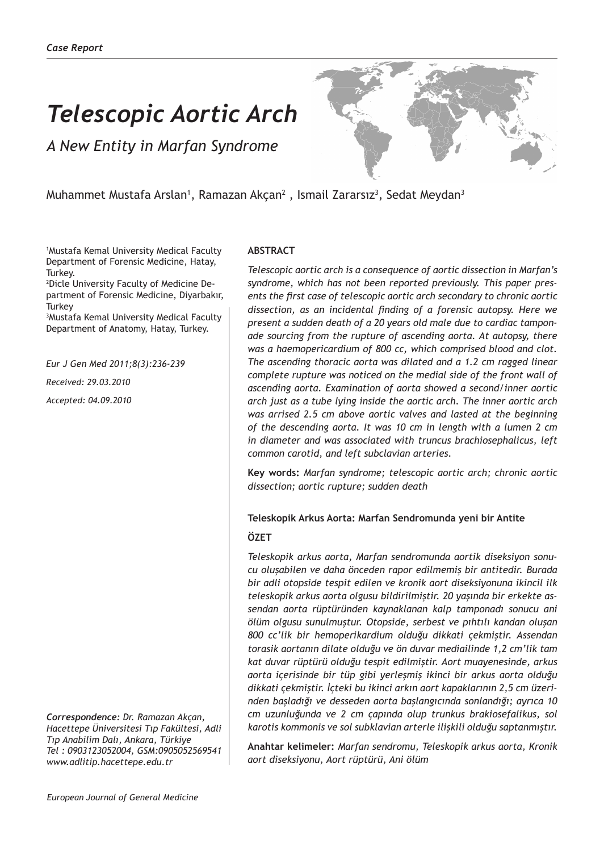# *Telescopic Aortic Arch*

*A New Entity in Marfan Syndrome*



Muhammet Mustafa Arslan<sup>1</sup>, Ramazan Akçan<sup>2</sup> , Ismail Zararsız<sup>3</sup>, Sedat Meydan<sup>3</sup>

1 Mustafa Kemal University Medical Faculty Department of Forensic Medicine, Hatay, Turkey.

2 Dicle University Faculty of Medicine Department of Forensic Medicine, Diyarbakır, **Turkey** 

3 Mustafa Kemal University Medical Faculty Department of Anatomy, Hatay, Turkey.

*Eur J Gen Med 2011;8(3):236-239*

*Received: 29.03.2010*

*Accepted: 04.09.2010*

*Correspondence: Dr. Ramazan Akçan, Hacettepe Üniversitesi Tıp Fakültesi, Adli Tıp Anabilim Dalı, Ankara, Türkiye Tel : 0903123052004, GSM:0905052569541 www.adlitip.hacettepe.edu.tr*

### **ABSTRACT**

*Telescopic aortic arch is a consequence of aortic dissection in Marfan's syndrome, which has not been reported previously. This paper presents the first case of telescopic aortic arch secondary to chronic aortic dissection, as an incidental finding of a forensic autopsy. Here we present a sudden death of a 20 years old male due to cardiac tamponade sourcing from the rupture of ascending aorta. At autopsy, there was a haemopericardium of 800 cc, which comprised blood and clot. The ascending thoracic aorta was dilated and a 1.2 cm ragged linear complete rupture was noticed on the medial side of the front wall of ascending aorta. Examination of aorta showed a second/inner aortic arch just as a tube lying inside the aortic arch. The inner aortic arch was arrised 2.5 cm above aortic valves and lasted at the beginning of the descending aorta. It was 10 cm in length with a lumen 2 cm in diameter and was associated with truncus brachiosephalicus, left common carotid, and left subclavian arteries.*

**Key words:** *Marfan syndrome; telescopic aortic arch; chronic aortic dissection; aortic rupture; sudden death* 

# **Teleskopik Arkus Aorta: Marfan Sendromunda yeni bir Antite ÖZET**

*Teleskopik arkus aorta, Marfan sendromunda aortik diseksiyon sonucu oluşabilen ve daha önceden rapor edilmemiş bir antitedir. Burada bir adli otopside tespit edilen ve kronik aort diseksiyonuna ikincil ilk teleskopik arkus aorta olgusu bildirilmiştir. 20 yaşında bir erkekte assendan aorta rüptüründen kaynaklanan kalp tamponadı sonucu ani ölüm olgusu sunulmuştur. Otopside, serbest ve pıhtılı kandan oluşan 800 cc'lik bir hemoperikardium olduğu dikkati çekmiştir. Assendan torasik aortanın dilate olduğu ve ön duvar mediailinde 1,2 cm'lik tam kat duvar rüptürü olduğu tespit edilmiştir. Aort muayenesinde, arkus aorta içerisinde bir tüp gibi yerleşmiş ikinci bir arkus aorta olduğu dikkati çekmiştir. İçteki bu ikinci arkın aort kapaklarının 2,5 cm üzerinden başladığı ve desseden aorta başlangıcında sonlandığı; ayrıca 10 cm uzunluğunda ve 2 cm çapında olup trunkus brakiosefalikus, sol karotis kommonis ve sol subklavian arterle ilişkili olduğu saptanmıştır.* 

**Anahtar kelimeler:** *Marfan sendromu, Teleskopik arkus aorta, Kronik aort diseksiyonu, Aort rüptürü, Ani ölüm*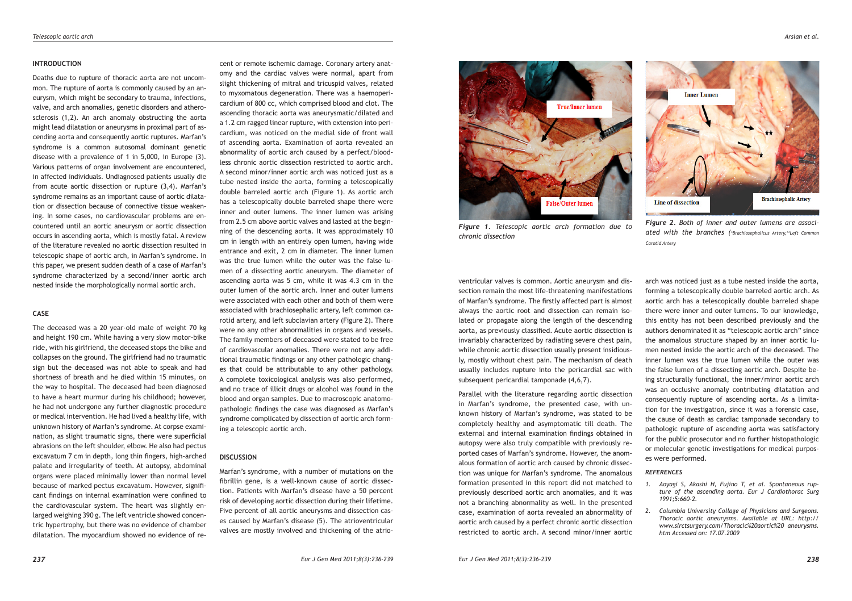#### **INTRODUCTION**

Deaths due to rupture of thoracic aorta are not uncommon. The rupture of aorta is commonly caused by an aneurysm, which might be secondary to trauma, infections, valve, and arch anomalies, genetic disorders and atherosclerosis (1,2). An arch anomaly obstructing the aorta might lead dilatation or aneurysms in proximal part of ascending aorta and consequently aortic ruptures. Marfan's syndrome is a common autosomal dominant genetic disease with a prevalence of 1 in 5,000, in Europe (3). Various patterns of organ involvement are encountered, in affected individuals. Undiagnosed patients usually die from acute aortic dissection or rupture (3,4). Marfan's syndrome remains as an important cause of aortic dilatation or dissection because of connective tissue weakening. In some cases, no cardiovascular problems are encountered until an aortic aneurysm or aortic dissection occurs in ascending aorta, which is mostly fatal. A review of the literature revealed no aortic dissection resulted in telescopic shape of aortic arch, in Marfan's syndrome. In this paper, we present sudden death of a case of Marfan's syndrome characterized by a second/inner aortic arch nested inside the morphologically normal aortic arch.

## **CASE**

The deceased was a 20 year-old male of weight 70 kg and height 190 cm. While having a very slow motor-bike ride, with his girlfriend, the deceased stops the bike and collapses on the ground. The girlfriend had no traumatic sign but the deceased was not able to speak and had shortness of breath and he died within 15 minutes, on the way to hospital. The deceased had been diagnosed to have a heart murmur during his childhood; however, he had not undergone any further diagnostic procedure or medical intervention. He had lived a healthy life, with unknown history of Marfan's syndrome. At corpse examination, as slight traumatic signs, there were superficial abrasions on the left shoulder, elbow. He also had pectus excavatum 7 cm in depth, long thin fingers, high-arched palate and irregularity of teeth. At autopsy, abdominal organs were placed minimally lower than normal level because of marked pectus excavatum. However, significant findings on internal examination were confined to the cardiovascular system. The heart was slightly enlarged weighing 390 g. The left ventricle showed concentric hypertrophy, but there was no evidence of chamber dilatation. The myocardium showed no evidence of recent or remote ischemic damage. Coronary artery anatomy and the cardiac valves were normal, apart from slight thickening of mitral and tricuspid valves, related to myxomatous degeneration. There was a haemopericardium of 800 cc, which comprised blood and clot. The ascending thoracic aorta was aneurysmatic/dilated and a 1.2 cm ragged linear rupture, with extension into pericardium, was noticed on the medial side of front wall of ascending aorta. Examination of aorta revealed an abnormality of aortic arch caused by a perfect/bloodless chronic aortic dissection restricted to aortic arch. A second minor/inner aortic arch was noticed just as a tube nested inside the aorta, forming a telescopically double barreled aortic arch (Figure 1). As aortic arch has a telescopically double barreled shape there were inner and outer lumens. The inner lumen was arising from 2.5 cm above aortic valves and lasted at the beginning of the descending aorta. It was approximately 10 cm in length with an entirely open lumen, having wide entrance and exit, 2 cm in diameter. The inner lumen was the true lumen while the outer was the false lumen of a dissecting aortic aneurysm. The diameter of ascending aorta was 5 cm, while it was 4.3 cm in the outer lumen of the aortic arch. Inner and outer lumens were associated with each other and both of them were associated with brachiosephalic artery, left common carotid artery, and left subclavian artery (Figure 2). There were no any other abnormalities in organs and vessels. The family members of deceased were stated to be free of cardiovascular anomalies. There were not any additional traumatic findings or any other pathologic changes that could be attributable to any other pathology. A complete toxicological analysis was also performed, and no trace of illicit drugs or alcohol was found in the blood and organ samples. Due to macroscopic anatomopathologic findings the case was diagnosed as Marfan's syndrome complicated by dissection of aortic arch forming a telescopic aortic arch.

#### **DISCUSSION**

Marfan's syndrome, with a number of mutations on the fibrillin gene, is a well-known cause of aortic dissection. Patients with Marfan's disease have a 50 percent risk of developing aortic dissection during their lifetime. Five percent of all aortic aneurysms and dissection cases caused by Marfan's disease (5). The atrioventricular valves are mostly involved and thickening of the atrio-





*Figure 1. Telescopic aortic arch formation due to Figure 2. Both of inner and outer lumens are associated with the branches (\*Brachiosephalicus Artery,\*\*Left Common Carotid Artery*

ventricular valves is common. Aortic aneurysm and dissection remain the most life-threatening manifestations of Marfan's syndrome. The firstly affected part is almost always the aortic root and dissection can remain isolated or propagate along the length of the descending aorta, as previously classified. Acute aortic dissection is invariably characterized by radiating severe chest pain, while chronic aortic dissection usually present insidiously, mostly without chest pain. The mechanism of death usually includes rupture into the pericardial sac with subsequent pericardial tamponade (4,6,7).

*chronic dissection*

Parallel with the literature regarding aortic dissection in Marfan's syndrome, the presented case, with unknown history of Marfan's syndrome, was stated to be completely healthy and asymptomatic till death. The external and internal examination findings obtained in autopsy were also truly compatible with previously reported cases of Marfan's syndrome. However, the anomalous formation of aortic arch caused by chronic dissection was unique for Marfan's syndrome. The anomalous formation presented in this report did not matched to previously described aortic arch anomalies, and it was not a branching abnormality as well. In the presented case, examination of aorta revealed an abnormality of aortic arch caused by a perfect chronic aortic dissection restricted to aortic arch. A second minor/inner aortic

arch was noticed just as a tube nested inside the aorta, forming a telescopically double barreled aortic arch. As aortic arch has a telescopically double barreled shape there were inner and outer lumens. To our knowledge, this entity has not been described previously and the authors denominated it as "telescopic aortic arch" since the anomalous structure shaped by an inner aortic lumen nested inside the aortic arch of the deceased. The inner lumen was the true lumen while the outer was the false lumen of a dissecting aortic arch. Despite being structurally functional, the inner/minor aortic arch was an occlusive anomaly contributing dilatation and consequently rupture of ascending aorta. As a limitation for the investigation, since it was a forensic case, the cause of death as cardiac tamponade secondary to pathologic rupture of ascending aorta was satisfactory for the public prosecutor and no further histopathologic or molecular genetic investigations for medical purposes were performed.

#### *REFERENCES*

- *1. Aoyagi S, Akashi H, Fujino T, et al. Spontaneous rupture of the ascending aorta. Eur J Cardiothorac Surg 1991;5:660-2.*
- *2. Columbia University Collage of Physicians and Surgeons. Thoracic aortic aneurysms. Available at URL: http:// www.slrctsurgery.com/Thoracic%20aortic%20 aneurysms. htm Accessed on: 17.07.2009*